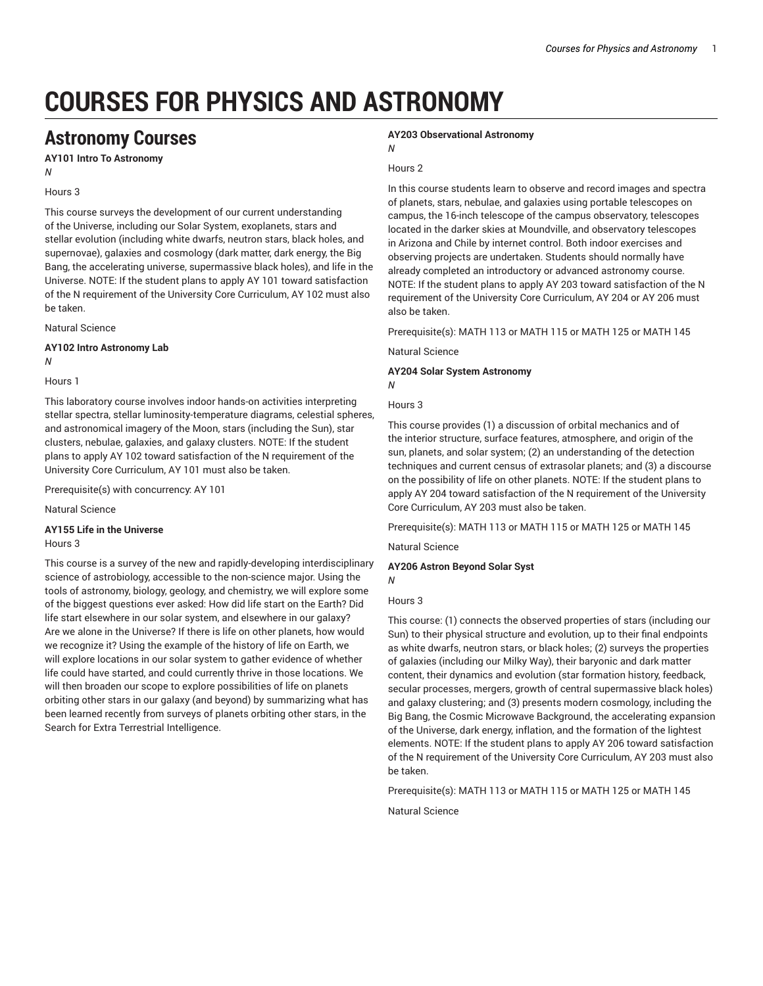# **COURSES FOR PHYSICS AND ASTRONOMY**

## **Astronomy Courses**

**AY101 Intro To Astronomy** *N*

### Hours 3

This course surveys the development of our current understanding of the Universe, including our Solar System, exoplanets, stars and stellar evolution (including white dwarfs, neutron stars, black holes, and supernovae), galaxies and cosmology (dark matter, dark energy, the Big Bang, the accelerating universe, supermassive black holes), and life in the Universe. NOTE: If the student plans to apply AY 101 toward satisfaction of the N requirement of the University Core Curriculum, AY 102 must also be taken.

Natural Science

#### **AY102 Intro Astronomy Lab** *N*

Hours 1

This laboratory course involves indoor hands-on activities interpreting stellar spectra, stellar luminosity-temperature diagrams, celestial spheres, and astronomical imagery of the Moon, stars (including the Sun), star clusters, nebulae, galaxies, and galaxy clusters. NOTE: If the student plans to apply AY 102 toward satisfaction of the N requirement of the University Core Curriculum, AY 101 must also be taken.

Prerequisite(s) with concurrency: AY 101

Natural Science

### **AY155 Life in the Universe**

#### Hours 3

This course is a survey of the new and rapidly-developing interdisciplinary science of astrobiology, accessible to the non-science major. Using the tools of astronomy, biology, geology, and chemistry, we will explore some of the biggest questions ever asked: How did life start on the Earth? Did life start elsewhere in our solar system, and elsewhere in our galaxy? Are we alone in the Universe? If there is life on other planets, how would we recognize it? Using the example of the history of life on Earth, we will explore locations in our solar system to gather evidence of whether life could have started, and could currently thrive in those locations. We will then broaden our scope to explore possibilities of life on planets orbiting other stars in our galaxy (and beyond) by summarizing what has been learned recently from surveys of planets orbiting other stars, in the Search for Extra Terrestrial Intelligence.

#### **AY203 Observational Astronomy**

*N*

### Hours 2

In this course students learn to observe and record images and spectra of planets, stars, nebulae, and galaxies using portable telescopes on campus, the 16-inch telescope of the campus observatory, telescopes located in the darker skies at Moundville, and observatory telescopes in Arizona and Chile by internet control. Both indoor exercises and observing projects are undertaken. Students should normally have already completed an introductory or advanced astronomy course. NOTE: If the student plans to apply AY 203 toward satisfaction of the N requirement of the University Core Curriculum, AY 204 or AY 206 must also be taken.

Prerequisite(s): MATH 113 or MATH 115 or MATH 125 or MATH 145

Natural Science

**AY204 Solar System Astronomy**

### Hours 3

*N*

This course provides (1) a discussion of orbital mechanics and of the interior structure, surface features, atmosphere, and origin of the sun, planets, and solar system; (2) an understanding of the detection techniques and current census of extrasolar planets; and (3) a discourse on the possibility of life on other planets. NOTE: If the student plans to apply AY 204 toward satisfaction of the N requirement of the University Core Curriculum, AY 203 must also be taken.

Prerequisite(s): MATH 113 or MATH 115 or MATH 125 or MATH 145

Natural Science

**AY206 Astron Beyond Solar Syst**

#### Hours 3

*N*

This course: (1) connects the observed properties of stars (including our Sun) to their physical structure and evolution, up to their final endpoints as white dwarfs, neutron stars, or black holes; (2) surveys the properties of galaxies (including our Milky Way), their baryonic and dark matter content, their dynamics and evolution (star formation history, feedback, secular processes, mergers, growth of central supermassive black holes) and galaxy clustering; and (3) presents modern cosmology, including the Big Bang, the Cosmic Microwave Background, the accelerating expansion of the Universe, dark energy, inflation, and the formation of the lightest elements. NOTE: If the student plans to apply AY 206 toward satisfaction of the N requirement of the University Core Curriculum, AY 203 must also be taken.

Prerequisite(s): MATH 113 or MATH 115 or MATH 125 or MATH 145

Natural Science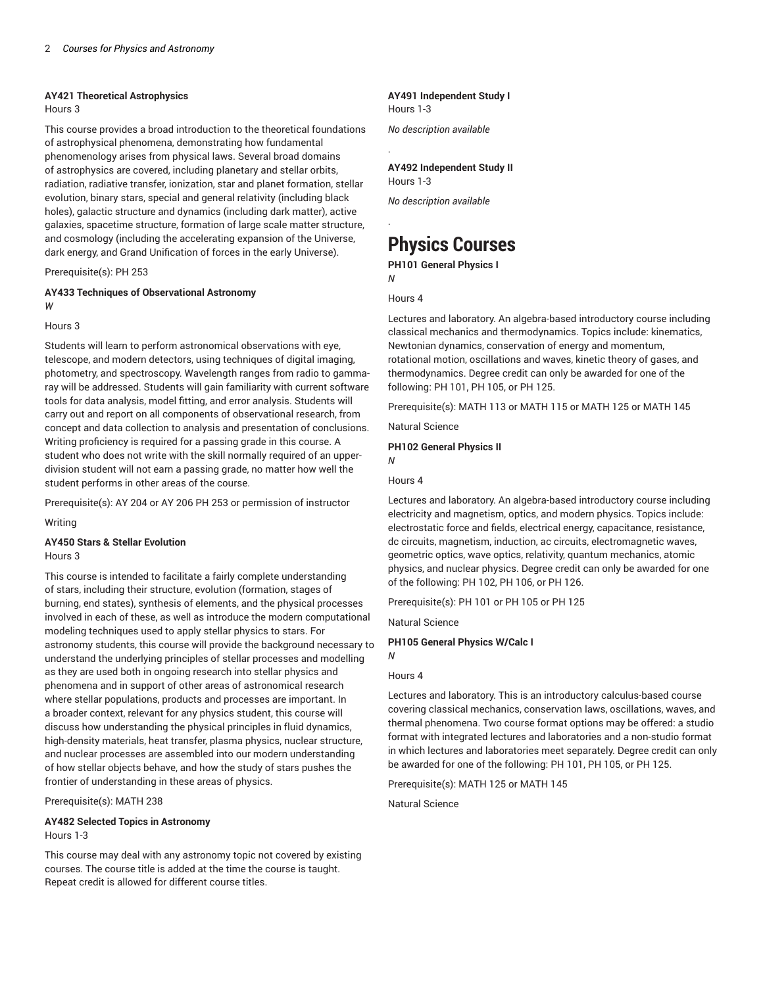### **AY421 Theoretical Astrophysics**

Hours 3

This course provides a broad introduction to the theoretical foundations of astrophysical phenomena, demonstrating how fundamental phenomenology arises from physical laws. Several broad domains of astrophysics are covered, including planetary and stellar orbits, radiation, radiative transfer, ionization, star and planet formation, stellar evolution, binary stars, special and general relativity (including black holes), galactic structure and dynamics (including dark matter), active galaxies, spacetime structure, formation of large scale matter structure, and cosmology (including the accelerating expansion of the Universe, dark energy, and Grand Unification of forces in the early Universe).

Prerequisite(s): PH 253

### **AY433 Techniques of Observational Astronomy** *W*

#### Hours 3

Students will learn to perform astronomical observations with eye, telescope, and modern detectors, using techniques of digital imaging, photometry, and spectroscopy. Wavelength ranges from radio to gammaray will be addressed. Students will gain familiarity with current software tools for data analysis, model fitting, and error analysis. Students will carry out and report on all components of observational research, from concept and data collection to analysis and presentation of conclusions. Writing proficiency is required for a passing grade in this course. A student who does not write with the skill normally required of an upperdivision student will not earn a passing grade, no matter how well the student performs in other areas of the course.

Prerequisite(s): AY 204 or AY 206 PH 253 or permission of instructor

Writing

### **AY450 Stars & Stellar Evolution**

Hours 3

This course is intended to facilitate a fairly complete understanding of stars, including their structure, evolution (formation, stages of burning, end states), synthesis of elements, and the physical processes involved in each of these, as well as introduce the modern computational modeling techniques used to apply stellar physics to stars. For astronomy students, this course will provide the background necessary to understand the underlying principles of stellar processes and modelling as they are used both in ongoing research into stellar physics and phenomena and in support of other areas of astronomical research where stellar populations, products and processes are important. In a broader context, relevant for any physics student, this course will discuss how understanding the physical principles in fluid dynamics, high-density materials, heat transfer, plasma physics, nuclear structure, and nuclear processes are assembled into our modern understanding of how stellar objects behave, and how the study of stars pushes the frontier of understanding in these areas of physics.

Prerequisite(s): MATH 238

### **AY482 Selected Topics in Astronomy** Hours 1-3

This course may deal with any astronomy topic not covered by existing courses. The course title is added at the time the course is taught. Repeat credit is allowed for different course titles.

### **AY491 Independent Study I** Hours 1-3

*No description available*

### **AY492 Independent Study II** Hours 1-3

*No description available*

# **Physics Courses**

**PH101 General Physics I** *N*

Hours 4

.

.

Lectures and laboratory. An algebra-based introductory course including classical mechanics and thermodynamics. Topics include: kinematics, Newtonian dynamics, conservation of energy and momentum, rotational motion, oscillations and waves, kinetic theory of gases, and thermodynamics. Degree credit can only be awarded for one of the following: PH 101, PH 105, or PH 125.

Prerequisite(s): MATH 113 or MATH 115 or MATH 125 or MATH 145

Natural Science

**PH102 General Physics II**

*N*

Hours 4

Lectures and laboratory. An algebra-based introductory course including electricity and magnetism, optics, and modern physics. Topics include: electrostatic force and fields, electrical energy, capacitance, resistance, dc circuits, magnetism, induction, ac circuits, electromagnetic waves, geometric optics, wave optics, relativity, quantum mechanics, atomic physics, and nuclear physics. Degree credit can only be awarded for one of the following: PH 102, PH 106, or PH 126.

Prerequisite(s): PH 101 or PH 105 or PH 125

Natural Science

### **PH105 General Physics W/Calc I**

### Hours 4

*N*

Lectures and laboratory. This is an introductory calculus-based course covering classical mechanics, conservation laws, oscillations, waves, and thermal phenomena. Two course format options may be offered: a studio format with integrated lectures and laboratories and a non-studio format in which lectures and laboratories meet separately. Degree credit can only be awarded for one of the following: PH 101, PH 105, or PH 125.

Prerequisite(s): MATH 125 or MATH 145

Natural Science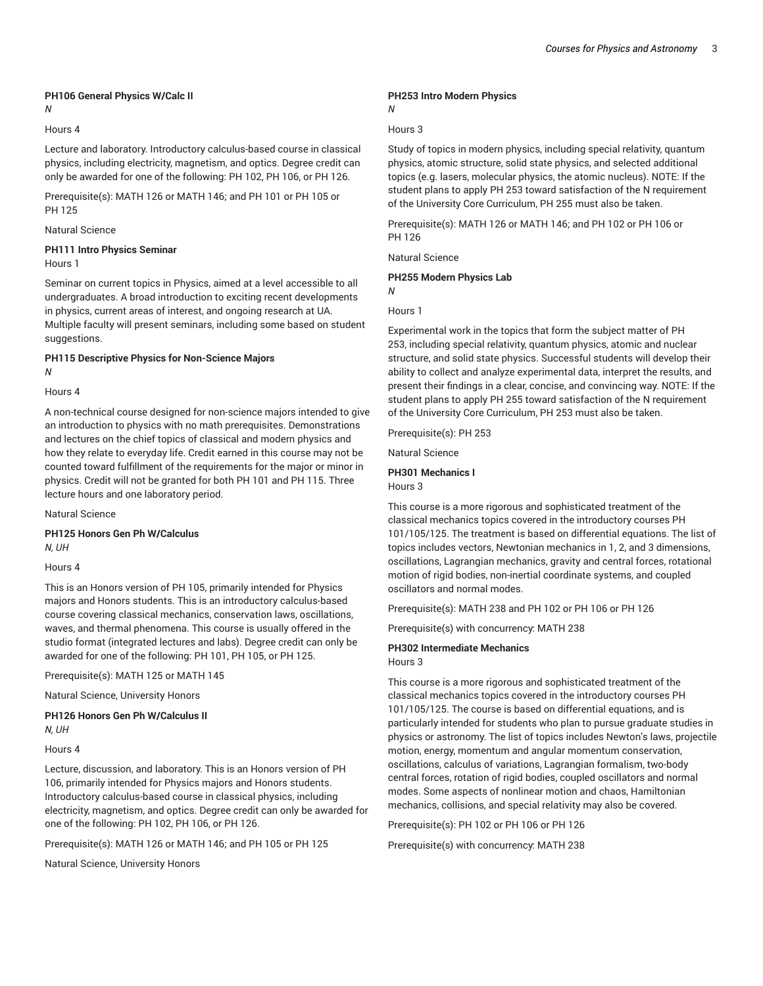### **PH106 General Physics W/Calc II**

### *N*

### Hours 4

Lecture and laboratory. Introductory calculus-based course in classical physics, including electricity, magnetism, and optics. Degree credit can only be awarded for one of the following: PH 102, PH 106, or PH 126.

Prerequisite(s): MATH 126 or MATH 146; and PH 101 or PH 105 or PH 125

### Natural Science

#### **PH111 Intro Physics Seminar** Hours 1

Seminar on current topics in Physics, aimed at a level accessible to all undergraduates. A broad introduction to exciting recent developments in physics, current areas of interest, and ongoing research at UA. Multiple faculty will present seminars, including some based on student suggestions.

### **PH115 Descriptive Physics for Non-Science Majors** *N*

#### Hours 4

A non-technical course designed for non-science majors intended to give an introduction to physics with no math prerequisites. Demonstrations and lectures on the chief topics of classical and modern physics and how they relate to everyday life. Credit earned in this course may not be counted toward fulfillment of the requirements for the major or minor in physics. Credit will not be granted for both PH 101 and PH 115. Three lecture hours and one laboratory period.

Natural Science

**PH125 Honors Gen Ph W/Calculus** *N, UH*

### Hours 4

This is an Honors version of PH 105, primarily intended for Physics majors and Honors students. This is an introductory calculus-based course covering classical mechanics, conservation laws, oscillations, waves, and thermal phenomena. This course is usually offered in the studio format (integrated lectures and labs). Degree credit can only be awarded for one of the following: PH 101, PH 105, or PH 125.

Prerequisite(s): MATH 125 or MATH 145

Natural Science, University Honors

### **PH126 Honors Gen Ph W/Calculus II**

*N, UH*

Hours 4

Lecture, discussion, and laboratory. This is an Honors version of PH 106, primarily intended for Physics majors and Honors students. Introductory calculus-based course in classical physics, including electricity, magnetism, and optics. Degree credit can only be awarded for one of the following: PH 102, PH 106, or PH 126.

Prerequisite(s): MATH 126 or MATH 146; and PH 105 or PH 125

Natural Science, University Honors

### **PH253 Intro Modern Physics**

### *N*

### Hours 3

Study of topics in modern physics, including special relativity, quantum physics, atomic structure, solid state physics, and selected additional topics (e.g. lasers, molecular physics, the atomic nucleus). NOTE: If the student plans to apply PH 253 toward satisfaction of the N requirement of the University Core Curriculum, PH 255 must also be taken.

Prerequisite(s): MATH 126 or MATH 146; and PH 102 or PH 106 or PH 126

Natural Science

### **PH255 Modern Physics Lab**

*N*

Hours 1

Experimental work in the topics that form the subject matter of PH 253, including special relativity, quantum physics, atomic and nuclear structure, and solid state physics. Successful students will develop their ability to collect and analyze experimental data, interpret the results, and present their findings in a clear, concise, and convincing way. NOTE: If the student plans to apply PH 255 toward satisfaction of the N requirement of the University Core Curriculum, PH 253 must also be taken.

Prerequisite(s): PH 253

Natural Science

### **PH301 Mechanics I** Hours 3

This course is a more rigorous and sophisticated treatment of the classical mechanics topics covered in the introductory courses PH 101/105/125. The treatment is based on differential equations. The list of topics includes vectors, Newtonian mechanics in 1, 2, and 3 dimensions, oscillations, Lagrangian mechanics, gravity and central forces, rotational motion of rigid bodies, non-inertial coordinate systems, and coupled oscillators and normal modes.

Prerequisite(s): MATH 238 and PH 102 or PH 106 or PH 126

Prerequisite(s) with concurrency: MATH 238

### **PH302 Intermediate Mechanics**

Hours 3

This course is a more rigorous and sophisticated treatment of the classical mechanics topics covered in the introductory courses PH 101/105/125. The course is based on differential equations, and is particularly intended for students who plan to pursue graduate studies in physics or astronomy. The list of topics includes Newton's laws, projectile motion, energy, momentum and angular momentum conservation, oscillations, calculus of variations, Lagrangian formalism, two-body central forces, rotation of rigid bodies, coupled oscillators and normal modes. Some aspects of nonlinear motion and chaos, Hamiltonian mechanics, collisions, and special relativity may also be covered.

Prerequisite(s): PH 102 or PH 106 or PH 126

Prerequisite(s) with concurrency: MATH 238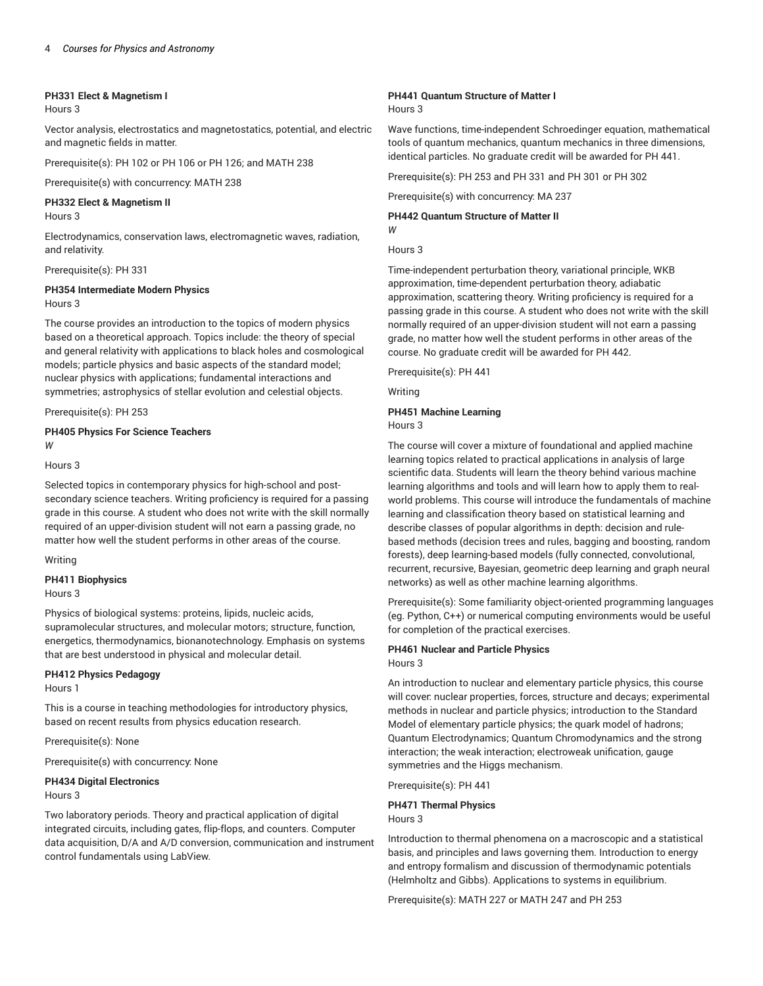### **PH331 Elect & Magnetism I**

Hours 3

Vector analysis, electrostatics and magnetostatics, potential, and electric and magnetic fields in matter.

Prerequisite(s): PH 102 or PH 106 or PH 126; and MATH 238

Prerequisite(s) with concurrency: MATH 238

### **PH332 Elect & Magnetism II**

Hours 3

Electrodynamics, conservation laws, electromagnetic waves, radiation, and relativity.

Prerequisite(s): PH 331

#### **PH354 Intermediate Modern Physics** Hours 3

The course provides an introduction to the topics of modern physics based on a theoretical approach. Topics include: the theory of special and general relativity with applications to black holes and cosmological models; particle physics and basic aspects of the standard model; nuclear physics with applications; fundamental interactions and symmetries; astrophysics of stellar evolution and celestial objects.

Prerequisite(s): PH 253

### **PH405 Physics For Science Teachers** *W*

Hours 3

Selected topics in contemporary physics for high-school and postsecondary science teachers. Writing proficiency is required for a passing grade in this course. A student who does not write with the skill normally required of an upper-division student will not earn a passing grade, no matter how well the student performs in other areas of the course.

Writing

### **PH411 Biophysics**

Hours 3

Physics of biological systems: proteins, lipids, nucleic acids, supramolecular structures, and molecular motors; structure, function, energetics, thermodynamics, bionanotechnology. Emphasis on systems that are best understood in physical and molecular detail.

### **PH412 Physics Pedagogy**

Hours 1

This is a course in teaching methodologies for introductory physics, based on recent results from physics education research.

Prerequisite(s): None

Prerequisite(s) with concurrency: None

### **PH434 Digital Electronics**

Hours 3

Two laboratory periods. Theory and practical application of digital integrated circuits, including gates, flip-flops, and counters. Computer data acquisition, D/A and A/D conversion, communication and instrument control fundamentals using LabView.

## **PH441 Quantum Structure of Matter I**

Hours 3

Wave functions, time-independent Schroedinger equation, mathematical tools of quantum mechanics, quantum mechanics in three dimensions, identical particles. No graduate credit will be awarded for PH 441.

Prerequisite(s): PH 253 and PH 331 and PH 301 or PH 302

Prerequisite(s) with concurrency: MA 237

#### **PH442 Quantum Structure of Matter II** *W*

Hours 3

Time-independent perturbation theory, variational principle, WKB approximation, time-dependent perturbation theory, adiabatic approximation, scattering theory. Writing proficiency is required for a passing grade in this course. A student who does not write with the skill normally required of an upper-division student will not earn a passing grade, no matter how well the student performs in other areas of the course. No graduate credit will be awarded for PH 442.

Prerequisite(s): PH 441

Writing

### **PH451 Machine Learning** Hours 3

The course will cover a mixture of foundational and applied machine learning topics related to practical applications in analysis of large scientific data. Students will learn the theory behind various machine learning algorithms and tools and will learn how to apply them to realworld problems. This course will introduce the fundamentals of machine learning and classification theory based on statistical learning and describe classes of popular algorithms in depth: decision and rulebased methods (decision trees and rules, bagging and boosting, random forests), deep learning-based models (fully connected, convolutional, recurrent, recursive, Bayesian, geometric deep learning and graph neural networks) as well as other machine learning algorithms.

Prerequisite(s): Some familiarity object-oriented programming languages (eg. Python, C++) or numerical computing environments would be useful for completion of the practical exercises.

#### **PH461 Nuclear and Particle Physics** Hours 3

An introduction to nuclear and elementary particle physics, this course will cover: nuclear properties, forces, structure and decays; experimental methods in nuclear and particle physics; introduction to the Standard Model of elementary particle physics; the quark model of hadrons; Quantum Electrodynamics; Quantum Chromodynamics and the strong interaction; the weak interaction; electroweak unification, gauge symmetries and the Higgs mechanism.

Prerequisite(s): PH 441

### **PH471 Thermal Physics** Hours 3

Introduction to thermal phenomena on a macroscopic and a statistical basis, and principles and laws governing them. Introduction to energy and entropy formalism and discussion of thermodynamic potentials (Helmholtz and Gibbs). Applications to systems in equilibrium.

Prerequisite(s): MATH 227 or MATH 247 and PH 253